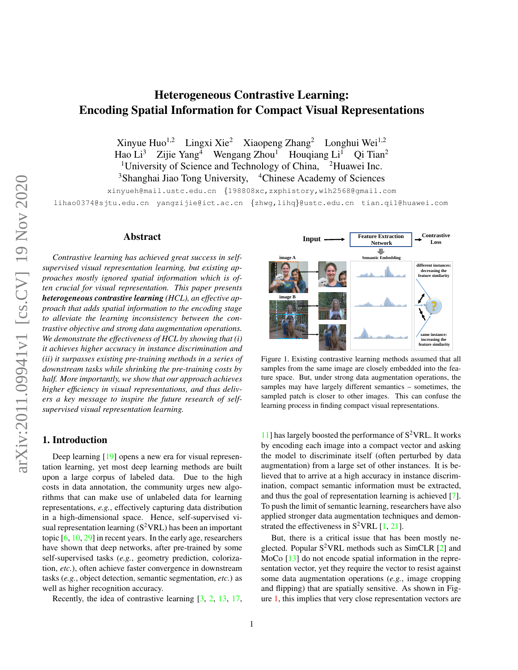# <span id="page-0-1"></span>Heterogeneous Contrastive Learning: Encoding Spatial Information for Compact Visual Representations

Xinyue Huo<sup>1,2</sup> Lingxi Xie<sup>2</sup> Xiaopeng Zhang<sup>2</sup> Longhui Wei<sup>1,2</sup> Hao Li<sup>3</sup> Zijie Yang<sup>4</sup> Wengang Zhou<sup>1</sup> Houqiang Li<sup>1</sup> Qi Tian<sup>2</sup> <sup>1</sup>University of Science and Technology of China,  $\mathrm{^{2}H}$ uawei Inc. <sup>3</sup>Shanghai Jiao Tong University, <sup>4</sup>Chinese Academy of Sciences

xinyueh@mail.ustc.edu.cn {198808xc,zxphistory,wlh2568@gmail.com

lihao0374@sjtu.edu.cn yangzijie@ict.ac.cn {zhwg,lihq}@ustc.edu.cn tian.qi1@huawei.com

# Abstract

*Contrastive learning has achieved great success in selfsupervised visual representation learning, but existing approaches mostly ignored spatial information which is often crucial for visual representation. This paper presents heterogeneous contrastive learning (HCL), an effective approach that adds spatial information to the encoding stage to alleviate the learning inconsistency between the contrastive objective and strong data augmentation operations. We demonstrate the effectiveness of HCL by showing that (i) it achieves higher accuracy in instance discrimination and (ii) it surpasses existing pre-training methods in a series of downstream tasks while shrinking the pre-training costs by half. More importantly, we show that our approach achieves higher efficiency in visual representations, and thus delivers a key message to inspire the future research of selfsupervised visual representation learning.*

# 1. Introduction

Deep learning [\[19\]](#page-8-0) opens a new era for visual representation learning, yet most deep learning methods are built upon a large corpus of labeled data. Due to the high costs in data annotation, the community urges new algorithms that can make use of unlabeled data for learning representations, *e.g.*, effectively capturing data distribution in a high-dimensional space. Hence, self-supervised visual representation learning  $(S^2 VRL)$  has been an important topic [\[6,](#page-8-1) [10,](#page-8-2) [29\]](#page-9-0) in recent years. In the early age, researchers have shown that deep networks, after pre-trained by some self-supervised tasks (*e.g.*, geometry prediction, colorization, *etc.*), often achieve faster convergence in downstream tasks (*e.g.*, object detection, semantic segmentation, *etc.*) as well as higher recognition accuracy.

Recently, the idea of contrastive learning [\[3,](#page-8-3) [2,](#page-8-4) [13,](#page-8-5) [17,](#page-8-6)



<span id="page-0-0"></span>Figure 1. Existing contrastive learning methods assumed that all samples from the same image are closely embedded into the feature space. But, under strong data augmentation operations, the samples may have largely different semantics – sometimes, the sampled patch is closer to other images. This can confuse the learning process in finding compact visual representations.

[11\]](#page-8-7) has largely boosted the performance of  $S^2$ VRL. It works by encoding each image into a compact vector and asking the model to discriminate itself (often perturbed by data augmentation) from a large set of other instances. It is believed that to arrive at a high accuracy in instance discrimination, compact semantic information must be extracted, and thus the goal of representation learning is achieved [\[7\]](#page-8-8). To push the limit of semantic learning, researchers have also applied stronger data augmentation techniques and demonstrated the effectiveness in  $S^2$ VRL [\[1,](#page-8-9) [21\]](#page-8-10).

But, there is a critical issue that has been mostly neglected. Popular  $S^2$ VRL methods such as SimCLR [\[2\]](#page-8-4) and MoCo [\[13\]](#page-8-5) do not encode spatial information in the representation vector, yet they require the vector to resist against some data augmentation operations (*e.g.*, image cropping and flipping) that are spatially sensitive. As shown in Figure [1,](#page-0-0) this implies that very close representation vectors are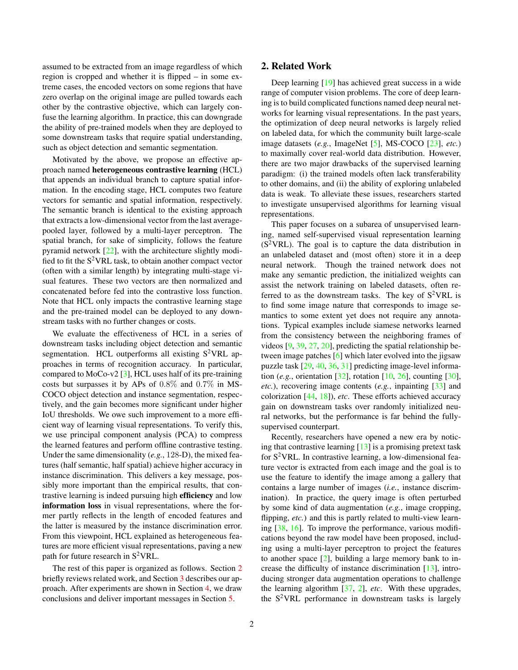<span id="page-1-1"></span>assumed to be extracted from an image regardless of which region is cropped and whether it is flipped – in some extreme cases, the encoded vectors on some regions that have zero overlap on the original image are pulled towards each other by the contrastive objective, which can largely confuse the learning algorithm. In practice, this can downgrade the ability of pre-trained models when they are deployed to some downstream tasks that require spatial understanding, such as object detection and semantic segmentation.

Motivated by the above, we propose an effective approach named heterogeneous contrastive learning (HCL) that appends an individual branch to capture spatial information. In the encoding stage, HCL computes two feature vectors for semantic and spatial information, respectively. The semantic branch is identical to the existing approach that extracts a low-dimensional vector from the last averagepooled layer, followed by a multi-layer perceptron. The spatial branch, for sake of simplicity, follows the feature pyramid network [\[22\]](#page-8-11), with the architecture slightly modified to fit the  $S^2$ VRL task, to obtain another compact vector (often with a similar length) by integrating multi-stage visual features. These two vectors are then normalized and concatenated before fed into the contrastive loss function. Note that HCL only impacts the contrastive learning stage and the pre-trained model can be deployed to any downstream tasks with no further changes or costs.

We evaluate the effectiveness of HCL in a series of downstream tasks including object detection and semantic segmentation. HCL outperforms all existing  $S^2$ VRL approaches in terms of recognition accuracy. In particular, compared to MoCo-v2 [\[3\]](#page-8-3), HCL uses half of its pre-training costs but surpasses it by APs of 0.8% and 0.7% in MS-COCO object detection and instance segmentation, respectively, and the gain becomes more significant under higher IoU thresholds. We owe such improvement to a more efficient way of learning visual representations. To verify this, we use principal component analysis (PCA) to compress the learned features and perform offline contrastive testing. Under the same dimensionality (*e.g.*, 128-D), the mixed features (half semantic, half spatial) achieve higher accuracy in instance discrimination. This delivers a key message, possibly more important than the empirical results, that contrastive learning is indeed pursuing high efficiency and low information loss in visual representations, where the former partly reflects in the length of encoded features and the latter is measured by the instance discrimination error. From this viewpoint, HCL explained as heterogeneous features are more efficient visual representations, paving a new path for future research in  $S^2$ VRL.

The rest of this paper is organized as follows. Section [2](#page-1-0) briefly reviews related work, and Section [3](#page-2-0) describes our approach. After experiments are shown in Section [4,](#page-4-0) we draw conclusions and deliver important messages in Section [5.](#page-7-0)

## <span id="page-1-0"></span>2. Related Work

Deep learning [\[19\]](#page-8-0) has achieved great success in a wide range of computer vision problems. The core of deep learning is to build complicated functions named deep neural networks for learning visual representations. In the past years, the optimization of deep neural networks is largely relied on labeled data, for which the community built large-scale image datasets (*e.g.*, ImageNet [\[5\]](#page-8-12), MS-COCO [\[23\]](#page-8-13), *etc.*) to maximally cover real-world data distribution. However, there are two major drawbacks of the supervised learning paradigm: (i) the trained models often lack transferability to other domains, and (ii) the ability of exploring unlabeled data is weak. To alleviate these issues, researchers started to investigate unsupervised algorithms for learning visual representations.

This paper focuses on a subarea of unsupervised learning, named self-supervised visual representation learning  $(S^2VRL)$ . The goal is to capture the data distribution in an unlabeled dataset and (most often) store it in a deep neural network. Though the trained network does not make any semantic prediction, the initialized weights can assist the network training on labeled datasets, often referred to as the downstream tasks. The key of  $S^2$ VRL is to find some image nature that corresponds to image semantics to some extent yet does not require any annotations. Typical examples include siamese networks learned from the consistency between the neighboring frames of videos [\[9,](#page-8-14) [39,](#page-9-1) [27,](#page-9-2) [20\]](#page-8-15), predicting the spatial relationship between image patches [\[6\]](#page-8-1) which later evolved into the jigsaw puzzle task [\[29,](#page-9-0) [40,](#page-9-3) [36,](#page-9-4) [31\]](#page-9-5) predicting image-level information (*e.g.*, orientation [\[32\]](#page-9-6), rotation [\[10,](#page-8-2) [26\]](#page-9-7), counting [\[30\]](#page-9-8), *etc.*), recovering image contents (*e.g.*, inpainting [\[33\]](#page-9-9) and colorization [\[44,](#page-9-10) [18\]](#page-8-16)), *etc*. These efforts achieved accuracy gain on downstream tasks over randomly initialized neural networks, but the performance is far behind the fullysupervised counterpart.

Recently, researchers have opened a new era by noticing that contrastive learning [\[13\]](#page-8-5) is a promising pretext task for  $S^2$ VRL. In contrastive learning, a low-dimensional feature vector is extracted from each image and the goal is to use the feature to identify the image among a gallery that contains a large number of images (*i.e.*, instance discrimination). In practice, the query image is often perturbed by some kind of data augmentation (*e.g.*, image cropping, flipping, *etc.*) and this is partly related to multi-view learning [\[38,](#page-9-11) [16\]](#page-8-17). To improve the performance, various modifications beyond the raw model have been proposed, including using a multi-layer perceptron to project the features to another space [\[2\]](#page-8-4), building a large memory bank to increase the difficulty of instance discrimination [\[13\]](#page-8-5), introducing stronger data augmentation operations to challenge the learning algorithm [\[37,](#page-9-12) [2\]](#page-8-4), *etc*. With these upgrades, the  $S^2$ VRL performance in downstream tasks is largely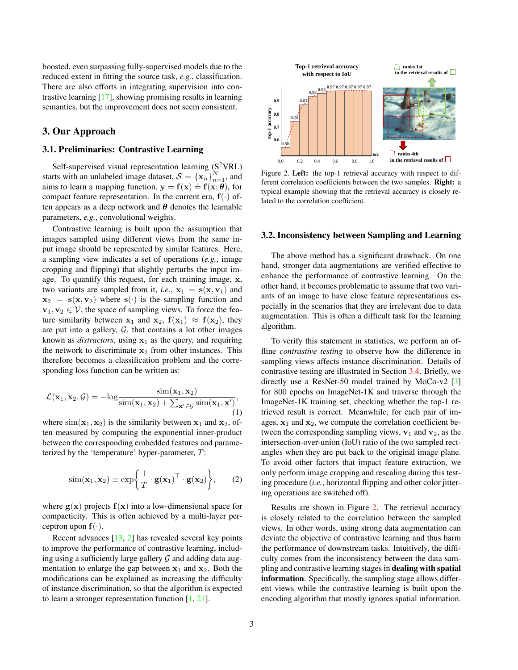<span id="page-2-4"></span>boosted, even surpassing fully-supervised models due to the reduced extent in fitting the source task, *e.g.*, classification. There are also efforts in integrating supervision into contrastive learning [\[17\]](#page-8-6), showing promising results in learning semantics, but the improvement does not seem consistent.

# <span id="page-2-0"></span>3. Our Approach

## 3.1. Preliminaries: Contrastive Learning

Self-supervised visual representation learning  $(S^2 VRL)$ starts with an unlabeled image dataset,  $S = {\{\mathbf{x}_n\}}_{n=1}^N$ , and aims to learn a mapping function,  $y = f(x) = f(x; \theta)$ , for compact feature representation. In the current era,  $f(\cdot)$  often appears as a deep network and  $\theta$  denotes the learnable parameters, *e.g.*, convolutional weights.

Contrastive learning is built upon the assumption that images sampled using different views from the same input image should be represented by similar features. Here, a sampling view indicates a set of operations (*e.g.*, image cropping and flipping) that slightly perturbs the input image. To quantify this request, for each training image, x, two variants are sampled from it, *i.e.*,  $x_1 = s(x, v_1)$  and  $x_2 = s(x, v_2)$  where  $s(·)$  is the sampling function and  $\mathbf{v}_1, \mathbf{v}_2 \in \mathcal{V}$ , the space of sampling views. To force the feature similarity between  $x_1$  and  $x_2$ ,  $f(x_1) \approx f(x_2)$ , they are put into a gallery,  $G$ , that contains a lot other images known as *distractors*, using  $x_1$  as the query, and requiring the network to discriminate  $x_2$  from other instances. This therefore becomes a classification problem and the corresponding loss function can be written as:

<span id="page-2-3"></span>
$$
\mathcal{L}(\mathbf{x}_1, \mathbf{x}_2, \mathcal{G}) = -\log \frac{\text{sim}(\mathbf{x}_1, \mathbf{x}_2)}{\text{sim}(\mathbf{x}_1, \mathbf{x}_2) + \sum_{\mathbf{x}' \in \mathcal{G}} \text{sim}(\mathbf{x}_1, \mathbf{x}')},\tag{1}
$$

where  $\text{sim}(\mathbf{x}_1, \mathbf{x}_2)$  is the similarity between  $\mathbf{x}_1$  and  $\mathbf{x}_2$ , often measured by computing the exponential inner-product between the corresponding embedded features and parameterized by the 'temperature' hyper-parameter, T:

<span id="page-2-2"></span>
$$
\text{sim}(\mathbf{x}_1, \mathbf{x}_2) \equiv \exp\bigg\{\frac{1}{T} \cdot \mathbf{g}(\mathbf{x}_1)^\top \cdot \mathbf{g}(\mathbf{x}_2)\bigg\},\qquad(2)
$$

where  $g(x)$  projects  $f(x)$  into a low-dimensional space for compacticity. This is often achieved by a multi-layer perceptron upon  $f(\cdot)$ .

Recent advances [\[13,](#page-8-5) [2\]](#page-8-4) has revealed several key points to improve the performance of contrastive learning, including using a sufficiently large gallery  $G$  and adding data augmentation to enlarge the gap between  $x_1$  and  $x_2$ . Both the modifications can be explained as increasing the difficulty of instance discrimination, so that the algorithm is expected to learn a stronger representation function [\[1,](#page-8-9) [21\]](#page-8-10).



<span id="page-2-1"></span>Figure 2. Left: the top-1 retrieval accuracy with respect to different correlation coefficients between the two samples. Right: a typical example showing that the retrieval accuracy is closely related to the correlation coefficient.

## 3.2. Inconsistency between Sampling and Learning

The above method has a significant drawback. On one hand, stronger data augmentations are verified effective to enhance the performance of contrastive learning. On the other hand, it becomes problematic to assume that two variants of an image to have close feature representations especially in the scenarios that they are irrelevant due to data augmentation. This is often a difficult task for the learning algorithm.

To verify this statement in statistics, we perform an offline *contrastive testing* to observe how the difference in sampling views affects instance discrimination. Details of contrastive testing are illustrated in Section [3.4.](#page-4-1) Briefly, we directly use a ResNet-50 model trained by MoCo-v2 [\[3\]](#page-8-3) for 800 epochs on ImageNet-1K and traverse through the ImageNet-1K training set, checking whether the top-1 retrieved result is correct. Meanwhile, for each pair of images,  $x_1$  and  $x_2$ , we compute the correlation coefficient between the corresponding sampling views,  $v_1$  and  $v_2$ , as the intersection-over-union (IoU) ratio of the two sampled rectangles when they are put back to the original image plane. To avoid other factors that impact feature extraction, we only perform image cropping and rescaling during this testing procedure (*i.e.*, horizontal flipping and other color jittering operations are switched off).

Results are shown in Figure [2.](#page-2-1) The retrieval accuracy is closely related to the correlation between the sampled views. In other words, using strong data augmentation can deviate the objective of contrastive learning and thus harm the performance of downstream tasks. Intuitively, the difficulty comes from the inconsistency between the data sampling and contrastive learning stages in dealing with spatial information. Specifically, the sampling stage allows different views while the contrastive learning is built upon the encoding algorithm that mostly ignores spatial information.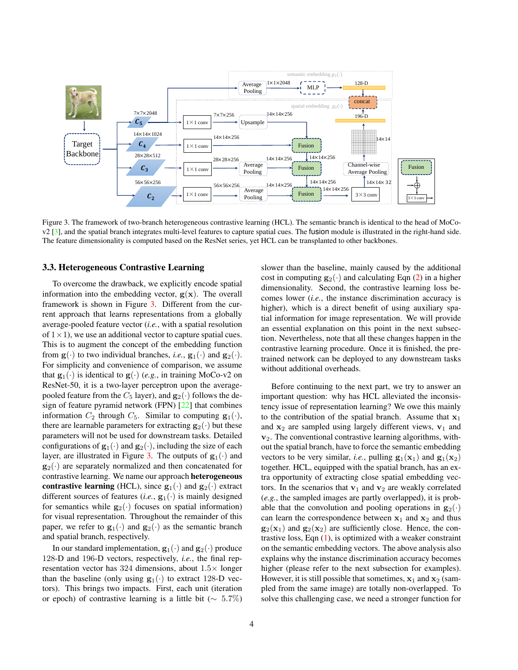<span id="page-3-1"></span>

<span id="page-3-0"></span>Figure 3. The framework of two-branch heterogeneous contrastive learning (HCL). The semantic branch is identical to the head of MoCov2 [\[3\]](#page-8-3), and the spatial branch integrates multi-level features to capture spatial cues. The fusion module is illustrated in the right-hand side. The feature dimensionality is computed based on the ResNet series, yet HCL can be transplanted to other backbones.

#### 3.3. Heterogeneous Contrastive Learning

To overcome the drawback, we explicitly encode spatial information into the embedding vector,  $g(x)$ . The overall framework is shown in Figure [3.](#page-3-0) Different from the current approach that learns representations from a globally average-pooled feature vector (*i.e.*, with a spatial resolution of  $1 \times 1$ , we use an additional vector to capture spatial cues. This is to augment the concept of the embedding function from  $\mathbf{g}(\cdot)$  to two individual branches, *i.e.*,  $\mathbf{g}_1(\cdot)$  and  $\mathbf{g}_2(\cdot)$ . For simplicity and convenience of comparison, we assume that  $\mathbf{g}_1(\cdot)$  is identical to  $\mathbf{g}(\cdot)$  (*e.g.*, in training MoCo-v2 on ResNet-50, it is a two-layer perceptron upon the averagepooled feature from the  $C_5$  layer), and  $\mathbf{g}_2(\cdot)$  follows the design of feature pyramid network (FPN) [\[22\]](#page-8-11) that combines information  $C_2$  through  $C_5$ . Similar to computing  $\mathbf{g}_1(\cdot)$ , there are learnable parameters for extracting  $\mathbf{g}_2(\cdot)$  but these parameters will not be used for downstream tasks. Detailed configurations of  $\mathbf{g}_1(\cdot)$  and  $\mathbf{g}_2(\cdot)$ , including the size of each layer, are illustrated in Figure [3.](#page-3-0) The outputs of  $\mathbf{g}_1(\cdot)$  and  $\mathbf{g}_2(\cdot)$  are separately normalized and then concatenated for contrastive learning. We name our approach heterogeneous contrastive learning (HCL), since  $\mathbf{g}_1(\cdot)$  and  $\mathbf{g}_2(\cdot)$  extract different sources of features (*i.e.*,  $\mathbf{g}_1(\cdot)$  is mainly designed for semantics while  $\mathbf{g}_2(\cdot)$  focuses on spatial information) for visual representation. Throughout the remainder of this paper, we refer to  $\mathbf{g}_1(\cdot)$  and  $\mathbf{g}_2(\cdot)$  as the semantic branch and spatial branch, respectively.

In our standard implementation,  $\mathbf{g}_1(\cdot)$  and  $\mathbf{g}_2(\cdot)$  produce 128-D and 196-D vectors, respectively, *i.e.*, the final representation vector has 324 dimensions, about 1.5× longer than the baseline (only using  $g_1(\cdot)$  to extract 128-D vectors). This brings two impacts. First, each unit (iteration or epoch) of contrastive learning is a little bit ( $\sim 5.7\%$ )

slower than the baseline, mainly caused by the additional cost in computing  $g_2(\cdot)$  and calculating Eqn [\(2\)](#page-2-2) in a higher dimensionality. Second, the contrastive learning loss becomes lower (*i.e.*, the instance discrimination accuracy is higher), which is a direct benefit of using auxiliary spatial information for image representation. We will provide an essential explanation on this point in the next subsection. Nevertheless, note that all these changes happen in the contrastive learning procedure. Once it is finished, the pretrained network can be deployed to any downstream tasks without additional overheads.

Before continuing to the next part, we try to answer an important question: why has HCL alleviated the inconsistency issue of representation learning? We owe this mainly to the contribution of the spatial branch. Assume that  $x_1$ and  $x_2$  are sampled using largely different views,  $v_1$  and  $v<sub>2</sub>$ . The conventional contrastive learning algorithms, without the spatial branch, have to force the semantic embedding vectors to be very similar, *i.e.*, pulling  $\mathbf{g}_1(\mathbf{x}_1)$  and  $\mathbf{g}_1(\mathbf{x}_2)$ together. HCL, equipped with the spatial branch, has an extra opportunity of extracting close spatial embedding vectors. In the scenarios that  $v_1$  and  $v_2$  are weakly correlated (*e.g.*, the sampled images are partly overlapped), it is probable that the convolution and pooling operations in  $\mathbf{g}_2(\cdot)$ can learn the correspondence between  $x_1$  and  $x_2$  and thus  $\mathbf{g}_2(\mathbf{x}_1)$  and  $\mathbf{g}_2(\mathbf{x}_2)$  are sufficiently close. Hence, the contrastive loss, Eqn  $(1)$ , is optimized with a weaker constraint on the semantic embedding vectors. The above analysis also explains why the instance discrimination accuracy becomes higher (please refer to the next subsection for examples). However, it is still possible that sometimes,  $x_1$  and  $x_2$  (sampled from the same image) are totally non-overlapped. To solve this challenging case, we need a stronger function for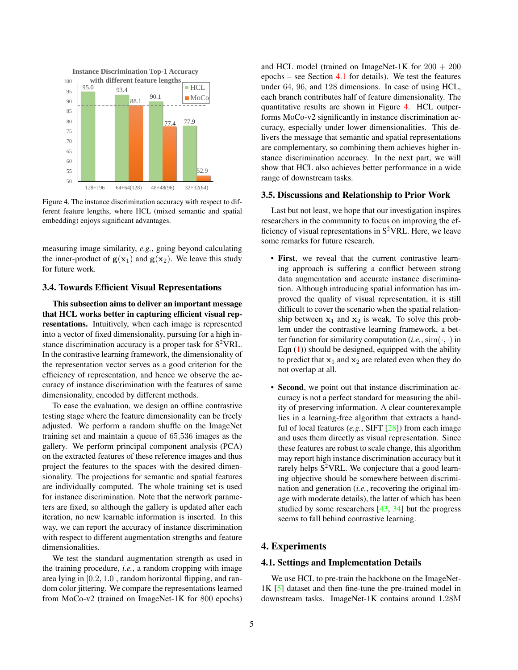<span id="page-4-4"></span>

<span id="page-4-3"></span>Figure 4. The instance discrimination accuracy with respect to different feature lengths, where HCL (mixed semantic and spatial embedding) enjoys significant advantages.

measuring image similarity, *e.g.*, going beyond calculating the inner-product of  $g(x_1)$  and  $g(x_2)$ . We leave this study for future work.

## <span id="page-4-1"></span>3.4. Towards Efficient Visual Representations

This subsection aims to deliver an important message that HCL works better in capturing efficient visual representations. Intuitively, when each image is represented into a vector of fixed dimensionality, pursuing for a high instance discrimination accuracy is a proper task for  $S^2$ VRL. In the contrastive learning framework, the dimensionality of the representation vector serves as a good criterion for the efficiency of representation, and hence we observe the accuracy of instance discrimination with the features of same dimensionality, encoded by different methods.

To ease the evaluation, we design an offline contrastive testing stage where the feature dimensionality can be freely adjusted. We perform a random shuffle on the ImageNet training set and maintain a queue of 65,536 images as the gallery. We perform principal component analysis (PCA) on the extracted features of these reference images and thus project the features to the spaces with the desired dimensionality. The projections for semantic and spatial features are individually computed. The whole training set is used for instance discrimination. Note that the network parameters are fixed, so although the gallery is updated after each iteration, no new learnable information is inserted. In this way, we can report the accuracy of instance discrimination with respect to different augmentation strengths and feature dimensionalities.

We test the standard augmentation strength as used in the training procedure, *i.e.*, a random cropping with image area lying in [0.2, 1.0], random horizontal flipping, and random color jittering. We compare the representations learned from MoCo-v2 (trained on ImageNet-1K for 800 epochs)

and HCL model (trained on ImageNet-1K for  $200 + 200$ epochs – see Section  $4.1$  for details). We test the features under 64, 96, and 128 dimensions. In case of using HCL, each branch contributes half of feature dimensionality. The quantitative results are shown in Figure [4.](#page-4-3) HCL outperforms MoCo-v2 significantly in instance discrimination accuracy, especially under lower dimensionalities. This delivers the message that semantic and spatial representations are complementary, so combining them achieves higher instance discrimination accuracy. In the next part, we will show that HCL also achieves better performance in a wide range of downstream tasks.

## 3.5. Discussions and Relationship to Prior Work

Last but not least, we hope that our investigation inspires researchers in the community to focus on improving the efficiency of visual representations in  $S^2$ VRL. Here, we leave some remarks for future research.

- First, we reveal that the current contrastive learning approach is suffering a conflict between strong data augmentation and accurate instance discrimination. Although introducing spatial information has improved the quality of visual representation, it is still difficult to cover the scenario when the spatial relationship between  $x_1$  and  $x_2$  is weak. To solve this problem under the contrastive learning framework, a better function for similarity computation  $(i.e., sim(·, ·)$  in Eqn  $(1)$ ) should be designed, equipped with the ability to predict that  $x_1$  and  $x_2$  are related even when they do not overlap at all.
- **Second**, we point out that instance discrimination accuracy is not a perfect standard for measuring the ability of preserving information. A clear counterexample lies in a learning-free algorithm that extracts a handful of local features (*e.g.*, SIFT [\[28\]](#page-9-13)) from each image and uses them directly as visual representation. Since these features are robust to scale change, this algorithm may report high instance discrimination accuracy but it rarely helps  $S^2$ VRL. We conjecture that a good learning objective should be somewhere between discrimination and generation (*i.e.*, recovering the original image with moderate details), the latter of which has been studied by some researchers [\[43,](#page-9-14) [34\]](#page-9-15) but the progress seems to fall behind contrastive learning.

## <span id="page-4-0"></span>4. Experiments

## <span id="page-4-2"></span>4.1. Settings and Implementation Details

We use HCL to pre-train the backbone on the ImageNet-1K [\[5\]](#page-8-12) dataset and then fine-tune the pre-trained model in downstream tasks. ImageNet-1K contains around 1.28M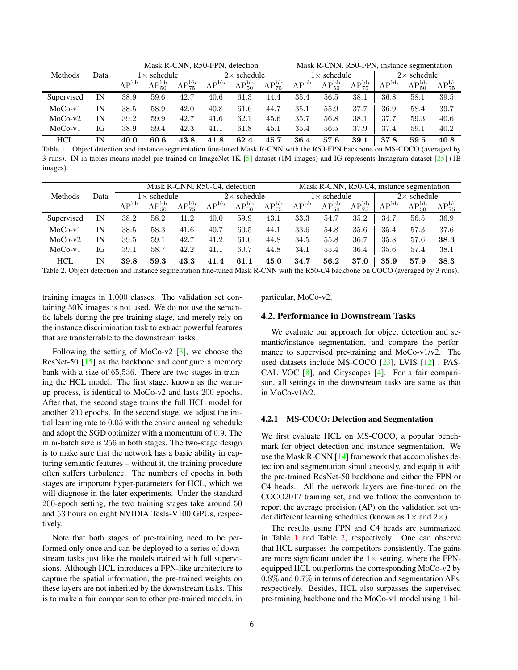<span id="page-5-2"></span>

|            | Data | Mask R-CNN, R50-FPN, detection |                |                               |                  | Mask R-CNN, R50-FPN, instance segmentation |                |                              |                |                               |                             |                               |                |
|------------|------|--------------------------------|----------------|-------------------------------|------------------|--------------------------------------------|----------------|------------------------------|----------------|-------------------------------|-----------------------------|-------------------------------|----------------|
| Methods    |      | $1 \times$ schedule            |                | $2\times$ schedule            |                  | $1 \times$ schedule                        |                | $2\times$ schedule           |                |                               |                             |                               |                |
|            |      | AP <sub>pp</sub>               | $AP_{50}^{bb}$ | $\overline{\rm AP_{75}^{bb}}$ | AP <sub>pp</sub> | $\overline{\rm AP_{50}^{bb}}$              | $AP_{75}^{bb}$ | $\overline{\rm AP}^{\rm bb}$ | $AP_{50}^{bb}$ | $\overline{\rm AP_{75}^{bb}}$ | $\mathrm{AP}^{\mathrm{bb}}$ | $\overline{\rm AP_{50}^{bb}}$ | $AP_{75}^{bb}$ |
| Supervised | IN   | 38.9                           | 59.6           | 42.7                          | 40.6             | 61.3                                       | 44.4           | 35.4                         | 56.5           | 38.1                          | 36.8                        | 58.1                          | 39.5           |
| $MoCo-v1$  | IN   | 38.5                           | 58.9           | 42.0                          | 40.8             | 61.6                                       | 44.7           | 35.1                         | 55.9           | 37.7                          | 36.9                        | 58.4                          | 39.7           |
| $MoCo-v2$  | IN   | 39.2                           | 59.9           | 42.7                          | 41.6             | 62.1                                       | 45.6           | 35.7                         | 56.8           | 38.1                          | 37.7                        | 59.3                          | 40.6           |
| $MoCo-v1$  | IG   | 38.9                           | 59.4           | 42.3                          | 41.1             | 61.8                                       | 45.1           | 35.4                         | 56.5           | 37.9                          | 37.4                        | 59.1                          | 40.2           |
| <b>HCL</b> | IN   | 40.0                           | 60.6           | 43.8                          | 41.8             | 62.4                                       | 45.7           | 36.4                         | 57.6           | 39.1                          | 37.8                        | 59.5                          | 40.8           |

<span id="page-5-0"></span>Table 1. Object detection and instance segmentation fine-tuned Mask R-CNN with the R50-FPN backbone on MS-COCO (averaged by 3 runs). IN in tables means model pre-trained on ImageNet-1K [\[5\]](#page-8-12) dataset (1M images) and IG represents Instagram dataset [\[25\]](#page-8-18) (1B images).

|            | Data | Mask R-CNN, R50-C4, detection |                |                    |                             |                               | Mask R-CNN, R50-C4, instance segmentation |                  |                    |                               |           |                |                |
|------------|------|-------------------------------|----------------|--------------------|-----------------------------|-------------------------------|-------------------------------------------|------------------|--------------------|-------------------------------|-----------|----------------|----------------|
| Methods    |      | $1 \times$ schedule           |                | $2\times$ schedule |                             | $1\times$ schedule            |                                           |                  | $2\times$ schedule |                               |           |                |                |
|            |      | AP <sub>pp</sub>              | $AP_{50}^{bb}$ | $AP_{75}^{bb}$     | $\mathrm{AP}^{\mathrm{bb}}$ | $\overline{\rm AP_{50}^{bb}}$ | $\overline{\rm AP_{75}^{bb}}$             | AP <sub>pp</sub> | $AP_{50}^{bb}$     | $\overline{\rm AP_{75}^{bb}}$ | $AP^{bb}$ | $AP_{50}^{bb}$ | $AP_{75}^{bb}$ |
| Supervised | IN   | 38.2                          | 58.2           | 41.2               | 40.0                        | 59.9                          | 43.1                                      | 33.3             | 54.7               | 35.2                          | 34.7      | 56.5           | 36.9           |
| $MoCo-v1$  | IN   | 38.5                          | 58.3           | 41.6               | 40.7                        | 60.5                          | 44.1                                      | 33.6             | 54.8               | 35.6                          | 35.4      | 57.3           | 37.6           |
| $MoCo-v2$  | IN   | 39.5                          | 59.1           | 42.7               | 41.2                        | 61.0                          | 44.8                                      | 34.5             | 55.8               | 36.7                          | 35.8      | 57.6           | 38.3           |
| $MoCo-v1$  | IG   | 39.1                          | 58.7           | 42.2               | 41.1                        | 60.7                          | 44.8                                      | 34.1             | 55.4               | 36.4                          | 35.6      | 57.4           | 38.1           |
| <b>HCL</b> | IN   | 39.8                          | 59.3           | 43.3               | 41.4                        | 61.1                          | 45.0                                      | 34.7             | 56.2               | 37.0                          | 35.9      | 57.9           | 38.3           |

<span id="page-5-1"></span>Table 2. Object detection and instance segmentation fine-tuned Mask R-CNN with the R50-C4 backbone on COCO (averaged by 3 runs).

training images in 1,000 classes. The validation set containing 50K images is not used. We do not use the semantic labels during the pre-training stage, and merely rely on the instance discrimination task to extract powerful features that are transferrable to the downstream tasks.

Following the setting of MoCo-v2  $[3]$ , we choose the ResNet-50 [\[15\]](#page-8-19) as the backbone and configure a memory bank with a size of 65,536. There are two stages in training the HCL model. The first stage, known as the warmup process, is identical to MoCo-v2 and lasts 200 epochs. After that, the second stage trains the full HCL model for another 200 epochs. In the second stage, we adjust the initial learning rate to 0.05 with the cosine annealing schedule and adopt the SGD optimizer with a momentum of 0.9. The mini-batch size is 256 in both stages. The two-stage design is to make sure that the network has a basic ability in capturing semantic features – without it, the training procedure often suffers turbulence. The numbers of epochs in both stages are important hyper-parameters for HCL, which we will diagnose in the later experiments. Under the standard 200-epoch setting, the two training stages take around 50 and 53 hours on eight NVIDIA Tesla-V100 GPUs, respectively.

Note that both stages of pre-training need to be performed only once and can be deployed to a series of downstream tasks just like the models trained with full supervisions. Although HCL introduces a FPN-like architecture to capture the spatial information, the pre-trained weights on these layers are not inherited by the downstream tasks. This is to make a fair comparison to other pre-trained models, in particular, MoCo-v2.

#### 4.2. Performance in Downstream Tasks

We evaluate our approach for object detection and semantic/instance segmentation, and compare the performance to supervised pre-training and MoCo-v1/v2. The used datasets include MS-COCO [\[23\]](#page-8-13), LVIS [\[12\]](#page-8-20) , PAS-CAL VOC [\[8\]](#page-8-21), and Cityscapes [\[4\]](#page-8-22). For a fair comparison, all settings in the downstream tasks are same as that in MoCo-v1/v2.

## 4.2.1 MS-COCO: Detection and Segmentation

We first evaluate HCL on MS-COCO, a popular benchmark for object detection and instance segmentation. We use the Mask R-CNN [\[14\]](#page-8-23) framework that accomplishes detection and segmentation simultaneously, and equip it with the pre-trained ResNet-50 backbone and either the FPN or C4 heads. All the network layers are fine-tuned on the COCO2017 training set, and we follow the convention to report the average precision (AP) on the validation set under different learning schedules (known as  $1\times$  and  $2\times$ ).

The results using FPN and C4 heads are summarized in Table [1](#page-5-0) and Table [2,](#page-5-1) respectively. One can observe that HCL surpasses the competitors consistently. The gains are more significant under the  $1\times$  setting, where the FPNequipped HCL outperforms the corresponding MoCo-v2 by 0.8% and 0.7% in terms of detection and segmentation APs, respectively. Besides, HCL also surpasses the supervised pre-training backbone and the MoCo-v1 model using 1 bil-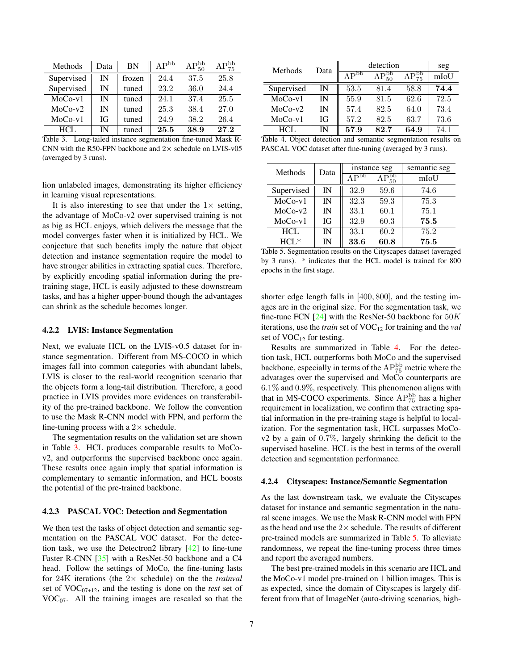<span id="page-6-3"></span>

| Methods    | Data | <b>BN</b> | AP <sub>PP</sub> | $AP_{50}^{bb}$ | $\overline{\rm AP_{75}^{bb}}$ |
|------------|------|-----------|------------------|----------------|-------------------------------|
| Supervised | IN   | frozen    | 24.4             | 37.5           | 25.8                          |
| Supervised | IN   | tuned     | 23.2             | 36.0           | 24.4                          |
| $MoCo-v1$  | IN   | tuned     | 24.1             | 37.4           | 25.5                          |
| $MoCo-v2$  | IN   | tuned     | 25.3             | 38.4           | 27.0                          |
| $MoCo-v1$  | IG   | tuned     | 24.9             | 38.2           | 26.4                          |
| HCL        | IN   | tuned     | 25.5             | 38.9           | 27.2                          |

<span id="page-6-0"></span>Table 3. Long-tailed instance segmentation fine-tuned Mask R-CNN with the R50-FPN backbone and  $2\times$  schedule on LVIS-v05 (averaged by 3 runs).

lion unlabeled images, demonstrating its higher efficiency in learning visual representations.

It is also interesting to see that under the  $1\times$  setting, the advantage of MoCo-v2 over supervised training is not as big as HCL enjoys, which delivers the message that the model converges faster when it is initialized by HCL. We conjecture that such benefits imply the nature that object detection and instance segmentation require the model to have stronger abilities in extracting spatial cues. Therefore, by explicitly encoding spatial information during the pretraining stage, HCL is easily adjusted to these downstream tasks, and has a higher upper-bound though the advantages can shrink as the schedule becomes longer.

## 4.2.2 LVIS: Instance Segmentation

Next, we evaluate HCL on the LVIS-v0.5 dataset for instance segmentation. Different from MS-COCO in which images fall into common categories with abundant labels, LVIS is closer to the real-world recognition scenario that the objects form a long-tail distribution. Therefore, a good practice in LVIS provides more evidences on transferability of the pre-trained backbone. We follow the convention to use the Mask R-CNN model with FPN, and perform the fine-tuning process with a  $2\times$  schedule.

The segmentation results on the validation set are shown in Table [3.](#page-6-0) HCL produces comparable results to MoCov2, and outperforms the supervised backbone once again. These results once again imply that spatial information is complementary to semantic information, and HCL boosts the potential of the pre-trained backbone.

#### 4.2.3 PASCAL VOC: Detection and Segmentation

We then test the tasks of object detection and semantic segmentation on the PASCAL VOC dataset. For the detection task, we use the Detectron2 library [\[42\]](#page-9-16) to fine-tune Faster R-CNN [\[35\]](#page-9-17) with a ResNet-50 backbone and a C4 head. Follow the settings of MoCo, the fine-tuning lasts for 24K iterations (the 2× schedule) on the the *trainval* set of  $VOC<sub>07+12</sub>$ , and the testing is done on the *test* set of  $VOC<sub>07</sub>$ . All the training images are rescaled so that the

| Methods         | Data         | detection                           | seg  |      |      |
|-----------------|--------------|-------------------------------------|------|------|------|
|                 |              | $\mathbf{D}_{\mathbf{p}\mathbf{p}}$ | bb   | bb   | mIoU |
| Supervised      | IN           | 53.5                                | 81.4 | 58.8 | 74.4 |
| $MoCo-v1$       | IN           | 55.9                                | 81.5 | 62.6 | 72.5 |
| $MoCo-v2$       | IN           | 57.4                                | 82.5 | 64.0 | 73.4 |
| $MoCo-v1$       | ĪG           | 57.2                                | 82.5 | 63.7 | 73.6 |
| <b>HCL</b><br>. | IN<br>$\sim$ | 57.9                                | 82.7 | 64.9 | 74.1 |

<span id="page-6-1"></span>Table 4. Object detection and semantic segmentation results on PASCAL VOC dataset after fine-tuning (averaged by 3 runs).

| Methods    | Data |                  | instance seg           | semantic seg |  |
|------------|------|------------------|------------------------|--------------|--|
|            |      | AP <sub>pp</sub> | $\Omega_{50}^{\rm bb}$ | mIoU         |  |
| Supervised | IN   | 32.9             | 59.6                   | 74.6         |  |
| $MoCo-v1$  | IN   | 32.3             | 59.3                   | 75.3         |  |
| $MoCo-v2$  | IN   | 33.1             | 60.1                   | 75.1         |  |
| $MoCo-v1$  | IG   | 32.9             | 60.3                   | 75.5         |  |
| $HCI$ .    | IN   | 33.1             | 60.2                   | 75.2         |  |
| $HCL*$     | IN   | 33.6             | 60.8                   | 75.5         |  |

<span id="page-6-2"></span>Table 5. Segmentation results on the Cityscapes dataset (averaged by 3 runs). \* indicates that the HCL model is trained for 800 epochs in the first stage.

shorter edge length falls in [400, 800], and the testing images are in the original size. For the segmentation task, we fine-tune FCN  $[24]$  with the ResNet-50 backbone for  $50K$ iterations, use the *train* set of VOC<sub>12</sub> for training and the *val* set of  $VOC_{12}$  for testing.

Results are summarized in Table [4.](#page-6-1) For the detection task, HCL outperforms both MoCo and the supervised backbone, especially in terms of the  $AP_{75}^{\rm bb}$  metric where the advatages over the supervised and MoCo counterparts are 6.1% and 0.9%, respectively. This phenomenon aligns with that in MS-COCO experiments. Since  $AP_{75}^{bb}$  has a higher requirement in localization, we confirm that extracting spatial information in the pre-training stage is helpful to localization. For the segmentation task, HCL surpasses MoCov2 by a gain of 0.7%, largely shrinking the deficit to the supervised baseline. HCL is the best in terms of the overall detection and segmentation performance.

#### 4.2.4 Cityscapes: Instance/Semantic Segmentation

As the last downstream task, we evaluate the Cityscapes dataset for instance and semantic segmentation in the natural scene images. We use the Mask R-CNN model with FPN as the head and use the  $2\times$  schedule. The results of different pre-trained models are summarized in Table [5.](#page-6-2) To alleviate randomness, we repeat the fine-tuning process three times and report the averaged numbers.

The best pre-trained models in this scenario are HCL and the MoCo-v1 model pre-trained on 1 billion images. This is as expected, since the domain of Cityscapes is largely different from that of ImageNet (auto-driving scenarios, high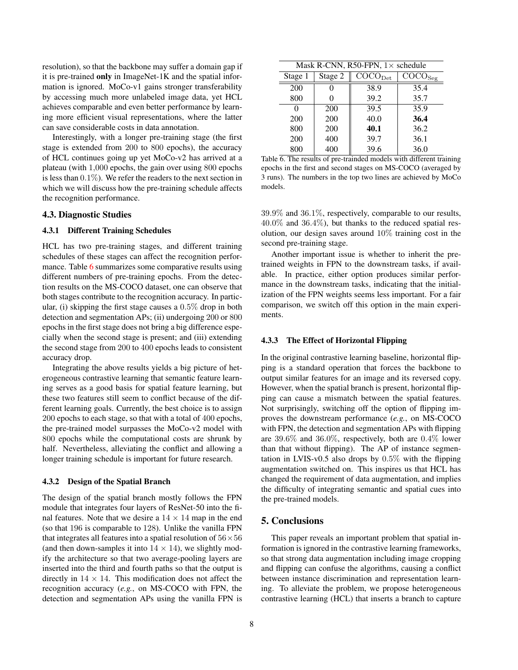resolution), so that the backbone may suffer a domain gap if it is pre-trained only in ImageNet-1K and the spatial information is ignored. MoCo-v1 gains stronger transferability by accessing much more unlabeled image data, yet HCL achieves comparable and even better performance by learning more efficient visual representations, where the latter can save considerable costs in data annotation.

Interestingly, with a longer pre-training stage (the first stage is extended from 200 to 800 epochs), the accuracy of HCL continues going up yet MoCo-v2 has arrived at a plateau (with 1,000 epochs, the gain over using 800 epochs is less than  $0.1\%$ ). We refer the readers to the next section in which we will discuss how the pre-training schedule affects the recognition performance.

#### 4.3. Diagnostic Studies

## 4.3.1 Different Training Schedules

HCL has two pre-training stages, and different training schedules of these stages can affect the recognition perfor-mance. Table [6](#page-7-1) summarizes some comparative results using different numbers of pre-training epochs. From the detection results on the MS-COCO dataset, one can observe that both stages contribute to the recognition accuracy. In particular, (i) skipping the first stage causes a 0.5% drop in both detection and segmentation APs; (ii) undergoing 200 or 800 epochs in the first stage does not bring a big difference especially when the second stage is present; and (iii) extending the second stage from 200 to 400 epochs leads to consistent accuracy drop.

Integrating the above results yields a big picture of heterogeneous contrastive learning that semantic feature learning serves as a good basis for spatial feature learning, but these two features still seem to conflict because of the different learning goals. Currently, the best choice is to assign 200 epochs to each stage, so that with a total of 400 epochs, the pre-trained model surpasses the MoCo-v2 model with 800 epochs while the computational costs are shrunk by half. Nevertheless, alleviating the conflict and allowing a longer training schedule is important for future research.

#### 4.3.2 Design of the Spatial Branch

The design of the spatial branch mostly follows the FPN module that integrates four layers of ResNet-50 into the final features. Note that we desire a  $14 \times 14$  map in the end (so that 196 is comparable to 128). Unlike the vanilla FPN that integrates all features into a spatial resolution of  $56 \times 56$ (and then down-samples it into  $14 \times 14$ ), we slightly modify the architecture so that two average-pooling layers are inserted into the third and fourth paths so that the output is directly in  $14 \times 14$ . This modification does not affect the recognition accuracy (*e.g.*, on MS-COCO with FPN, the detection and segmentation APs using the vanilla FPN is

| Mask R-CNN, R50-FPN, $1 \times$ schedule |         |                                       |                                       |  |  |  |  |
|------------------------------------------|---------|---------------------------------------|---------------------------------------|--|--|--|--|
| Stage 1                                  | Stage 2 | $\overline{\text{COCO}}_{\text{Det}}$ | $\overline{\text{COCO}}_{\text{Seg}}$ |  |  |  |  |
| 200                                      |         | 38.9                                  | 35.4                                  |  |  |  |  |
| 800                                      |         | 39.2                                  | 35.7                                  |  |  |  |  |
| 0                                        | 200     | 39.5                                  | 35.9                                  |  |  |  |  |
| 200                                      | 200     | 40.0                                  | 36.4                                  |  |  |  |  |
| 800                                      | 200     | 40.1                                  | 36.2                                  |  |  |  |  |
| 200                                      | 400     | 39.7                                  | 36.1                                  |  |  |  |  |
| 800                                      | 400     | 39.6                                  | 36.0                                  |  |  |  |  |

<span id="page-7-1"></span>Table 6. The results of pre-trainded models with different training epochs in the first and second stages on MS-COCO (averaged by 3 runs). The numbers in the top two lines are achieved by MoCo models.

39.9% and 36.1%, respectively, comparable to our results,  $40.0\%$  and  $36.4\%$ ), but thanks to the reduced spatial resolution, our design saves around 10% training cost in the second pre-training stage.

Another important issue is whether to inherit the pretrained weights in FPN to the downstream tasks, if available. In practice, either option produces similar performance in the downstream tasks, indicating that the initialization of the FPN weights seems less important. For a fair comparison, we switch off this option in the main experiments.

#### 4.3.3 The Effect of Horizontal Flipping

In the original contrastive learning baseline, horizontal flipping is a standard operation that forces the backbone to output similar features for an image and its reversed copy. However, when the spatial branch is present, horizontal flipping can cause a mismatch between the spatial features. Not surprisingly, switching off the option of flipping improves the downstream performance (*e.g.*, on MS-COCO with FPN, the detection and segmentation APs with flipping are 39.6% and 36.0%, respectively, both are 0.4% lower than that without flipping). The AP of instance segmentation in LVIS-v0.5 also drops by  $0.5\%$  with the flipping augmentation switched on. This inspires us that HCL has changed the requirement of data augmentation, and implies the difficulty of integrating semantic and spatial cues into the pre-trained models.

# <span id="page-7-0"></span>5. Conclusions

This paper reveals an important problem that spatial information is ignored in the contrastive learning frameworks, so that strong data augmentation including image cropping and flipping can confuse the algorithms, causing a conflict between instance discrimination and representation learning. To alleviate the problem, we propose heterogeneous contrastive learning (HCL) that inserts a branch to capture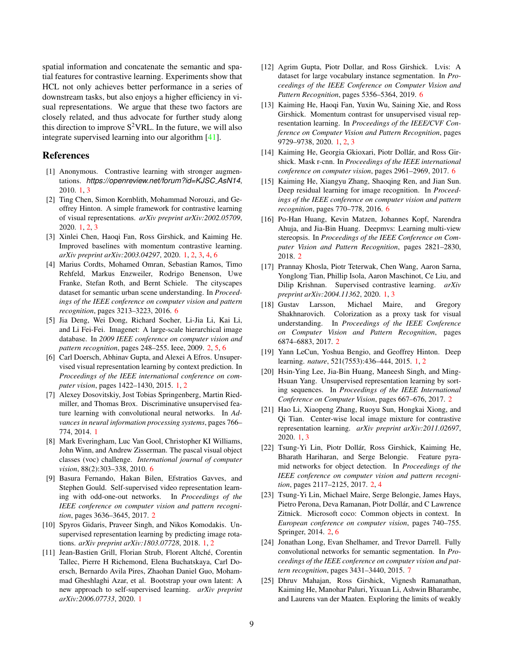<span id="page-8-25"></span>spatial information and concatenate the semantic and spatial features for contrastive learning. Experiments show that HCL not only achieves better performance in a series of downstream tasks, but also enjoys a higher efficiency in visual representations. We argue that these two factors are closely related, and thus advocate for further study along this direction to improve  $S^2 VRL$ . In the future, we will also integrate supervised learning into our algorithm [\[41\]](#page-9-18).

## References

- <span id="page-8-9"></span>[1] Anonymous. Contrastive learning with stronger augmentations. *https://openreview.net/forum?id=KJSC AsN14*, 2010. [1,](#page-0-1) [3](#page-2-4)
- <span id="page-8-4"></span>[2] Ting Chen, Simon Kornblith, Mohammad Norouzi, and Geoffrey Hinton. A simple framework for contrastive learning of visual representations. *arXiv preprint arXiv:2002.05709*, 2020. [1,](#page-0-1) [2,](#page-1-1) [3](#page-2-4)
- <span id="page-8-3"></span>[3] Xinlei Chen, Haoqi Fan, Ross Girshick, and Kaiming He. Improved baselines with momentum contrastive learning. *arXiv preprint arXiv:2003.04297*, 2020. [1,](#page-0-1) [2,](#page-1-1) [3,](#page-2-4) [4,](#page-3-1) [6](#page-5-2)
- <span id="page-8-22"></span>[4] Marius Cordts, Mohamed Omran, Sebastian Ramos, Timo Rehfeld, Markus Enzweiler, Rodrigo Benenson, Uwe Franke, Stefan Roth, and Bernt Schiele. The cityscapes dataset for semantic urban scene understanding. In *Proceedings of the IEEE conference on computer vision and pattern recognition*, pages 3213–3223, 2016. [6](#page-5-2)
- <span id="page-8-12"></span>[5] Jia Deng, Wei Dong, Richard Socher, Li-Jia Li, Kai Li, and Li Fei-Fei. Imagenet: A large-scale hierarchical image database. In *2009 IEEE conference on computer vision and pattern recognition*, pages 248–255. Ieee, 2009. [2,](#page-1-1) [5,](#page-4-4) [6](#page-5-2)
- <span id="page-8-1"></span>[6] Carl Doersch, Abhinav Gupta, and Alexei A Efros. Unsupervised visual representation learning by context prediction. In *Proceedings of the IEEE international conference on computer vision*, pages 1422–1430, 2015. [1,](#page-0-1) [2](#page-1-1)
- <span id="page-8-8"></span>[7] Alexey Dosovitskiy, Jost Tobias Springenberg, Martin Riedmiller, and Thomas Brox. Discriminative unsupervised feature learning with convolutional neural networks. In *Advances in neural information processing systems*, pages 766– 774, 2014. [1](#page-0-1)
- <span id="page-8-21"></span>[8] Mark Everingham, Luc Van Gool, Christopher KI Williams, John Winn, and Andrew Zisserman. The pascal visual object classes (voc) challenge. *International journal of computer vision*, 88(2):303–338, 2010. [6](#page-5-2)
- <span id="page-8-14"></span>[9] Basura Fernando, Hakan Bilen, Efstratios Gavves, and Stephen Gould. Self-supervised video representation learning with odd-one-out networks. In *Proceedings of the IEEE conference on computer vision and pattern recognition*, pages 3636–3645, 2017. [2](#page-1-1)
- <span id="page-8-2"></span>[10] Spyros Gidaris, Praveer Singh, and Nikos Komodakis. Unsupervised representation learning by predicting image rotations. *arXiv preprint arXiv:1803.07728*, 2018. [1,](#page-0-1) [2](#page-1-1)
- <span id="page-8-7"></span>[11] Jean-Bastien Grill, Florian Strub, Florent Altche, Corentin ´ Tallec, Pierre H Richemond, Elena Buchatskaya, Carl Doersch, Bernardo Avila Pires, Zhaohan Daniel Guo, Mohammad Gheshlaghi Azar, et al. Bootstrap your own latent: A new approach to self-supervised learning. *arXiv preprint arXiv:2006.07733*, 2020. [1](#page-0-1)
- <span id="page-8-20"></span>[12] Agrim Gupta, Piotr Dollar, and Ross Girshick. Lvis: A dataset for large vocabulary instance segmentation. In *Proceedings of the IEEE Conference on Computer Vision and Pattern Recognition*, pages 5356–5364, 2019. [6](#page-5-2)
- <span id="page-8-5"></span>[13] Kaiming He, Haoqi Fan, Yuxin Wu, Saining Xie, and Ross Girshick. Momentum contrast for unsupervised visual representation learning. In *Proceedings of the IEEE/CVF Conference on Computer Vision and Pattern Recognition*, pages 9729–9738, 2020. [1,](#page-0-1) [2,](#page-1-1) [3](#page-2-4)
- <span id="page-8-23"></span>[14] Kaiming He, Georgia Gkioxari, Piotr Dollár, and Ross Girshick. Mask r-cnn. In *Proceedings of the IEEE international conference on computer vision*, pages 2961–2969, 2017. [6](#page-5-2)
- <span id="page-8-19"></span>[15] Kaiming He, Xiangyu Zhang, Shaoqing Ren, and Jian Sun. Deep residual learning for image recognition. In *Proceedings of the IEEE conference on computer vision and pattern recognition*, pages 770–778, 2016. [6](#page-5-2)
- <span id="page-8-17"></span>[16] Po-Han Huang, Kevin Matzen, Johannes Kopf, Narendra Ahuja, and Jia-Bin Huang. Deepmvs: Learning multi-view stereopsis. In *Proceedings of the IEEE Conference on Computer Vision and Pattern Recognition*, pages 2821–2830, 2018. [2](#page-1-1)
- <span id="page-8-6"></span>[17] Prannay Khosla, Piotr Teterwak, Chen Wang, Aaron Sarna, Yonglong Tian, Phillip Isola, Aaron Maschinot, Ce Liu, and Dilip Krishnan. Supervised contrastive learning. *arXiv preprint arXiv:2004.11362*, 2020. [1,](#page-0-1) [3](#page-2-4)
- <span id="page-8-16"></span>[18] Gustav Larsson, Michael Maire, and Gregory Shakhnarovich. Colorization as a proxy task for visual understanding. In *Proceedings of the IEEE Conference on Computer Vision and Pattern Recognition*, pages 6874–6883, 2017. [2](#page-1-1)
- <span id="page-8-0"></span>[19] Yann LeCun, Yoshua Bengio, and Geoffrey Hinton. Deep learning. *nature*, 521(7553):436–444, 2015. [1,](#page-0-1) [2](#page-1-1)
- <span id="page-8-15"></span>[20] Hsin-Ying Lee, Jia-Bin Huang, Maneesh Singh, and Ming-Hsuan Yang. Unsupervised representation learning by sorting sequences. In *Proceedings of the IEEE International Conference on Computer Vision*, pages 667–676, 2017. [2](#page-1-1)
- <span id="page-8-10"></span>[21] Hao Li, Xiaopeng Zhang, Ruoyu Sun, Hongkai Xiong, and Qi Tian. Center-wise local image mixture for contrastive representation learning. *arXiv preprint arXiv:2011.02697*, 2020. [1,](#page-0-1) [3](#page-2-4)
- <span id="page-8-11"></span>[22] Tsung-Yi Lin, Piotr Dollár, Ross Girshick, Kaiming He, Bharath Hariharan, and Serge Belongie. Feature pyramid networks for object detection. In *Proceedings of the IEEE conference on computer vision and pattern recognition*, pages 2117–2125, 2017. [2,](#page-1-1) [4](#page-3-1)
- <span id="page-8-13"></span>[23] Tsung-Yi Lin, Michael Maire, Serge Belongie, James Hays, Pietro Perona, Deva Ramanan, Piotr Dollár, and C Lawrence Zitnick. Microsoft coco: Common objects in context. In *European conference on computer vision*, pages 740–755. Springer, 2014. [2,](#page-1-1) [6](#page-5-2)
- <span id="page-8-24"></span>[24] Jonathan Long, Evan Shelhamer, and Trevor Darrell. Fully convolutional networks for semantic segmentation. In *Proceedings of the IEEE conference on computer vision and pattern recognition*, pages 3431–3440, 2015. [7](#page-6-3)
- <span id="page-8-18"></span>[25] Dhruv Mahajan, Ross Girshick, Vignesh Ramanathan, Kaiming He, Manohar Paluri, Yixuan Li, Ashwin Bharambe, and Laurens van der Maaten. Exploring the limits of weakly